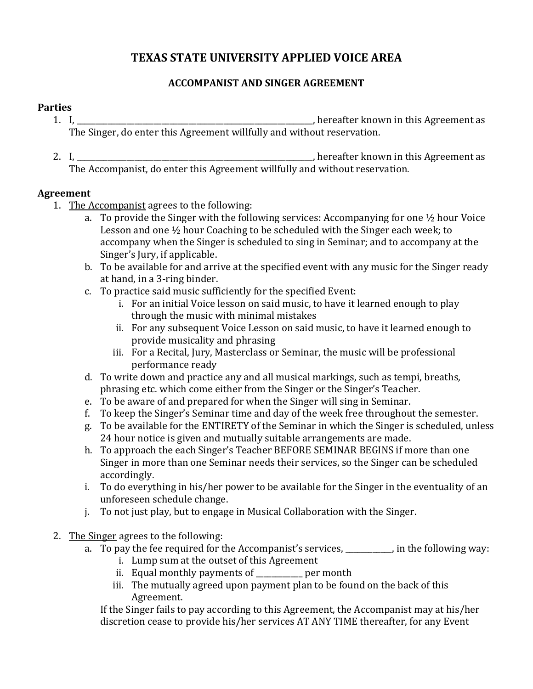# **TEXAS STATE UNIVERSITY APPLIED VOICE AREA**

### **ACCOMPANIST AND SINGER AGREEMENT**

#### **Parties**

- 1. I, \_\_\_\_\_\_\_\_\_\_\_\_\_\_\_\_\_\_\_\_\_\_\_\_\_\_\_\_\_\_\_\_\_\_\_\_\_\_\_\_\_\_\_\_\_\_\_\_\_\_\_\_\_\_\_\_\_\_\_\_\_, hereafter known in this Agreement as The Singer, do enter this Agreement willfully and without reservation.
- 2. I, \_\_\_\_\_\_\_\_\_\_\_\_\_\_\_\_\_\_\_\_\_\_\_\_\_\_\_\_\_\_\_\_\_\_\_\_\_\_\_\_\_\_\_\_\_\_\_\_\_\_\_\_\_\_\_\_\_\_\_\_\_, hereafter known in this Agreement as The Accompanist, do enter this Agreement willfully and without reservation.

## **Agreement**

- 1. The Accompanist agrees to the following:
	- a. To provide the Singer with the following services: Accompanying for one ½ hour Voice Lesson and one ½ hour Coaching to be scheduled with the Singer each week; to accompany when the Singer is scheduled to sing in Seminar; and to accompany at the Singer's Jury, if applicable.
	- b. To be available for and arrive at the specified event with any music for the Singer ready at hand, in a 3-ring binder.
	- c. To practice said music sufficiently for the specified Event:
		- i. For an initial Voice lesson on said music, to have it learned enough to play through the music with minimal mistakes
		- ii. For any subsequent Voice Lesson on said music, to have it learned enough to provide musicality and phrasing
		- iii. For a Recital, Jury, Masterclass or Seminar, the music will be professional performance ready
	- d. To write down and practice any and all musical markings, such as tempi, breaths, phrasing etc. which come either from the Singer or the Singer's Teacher.
	- e. To be aware of and prepared for when the Singer will sing in Seminar.
	- f. To keep the Singer's Seminar time and day of the week free throughout the semester.
	- g. To be available for the ENTIRETY of the Seminar in which the Singer is scheduled, unless 24 hour notice is given and mutually suitable arrangements are made.
	- h. To approach the each Singer's Teacher BEFORE SEMINAR BEGINS if more than one Singer in more than one Seminar needs their services, so the Singer can be scheduled accordingly.
	- i. To do everything in his/her power to be available for the Singer in the eventuality of an unforeseen schedule change.
	- j. To not just play, but to engage in Musical Collaboration with the Singer.
- 2. The Singer agrees to the following:
	- a. To pay the fee required for the Accompanist's services, \_\_\_\_\_\_\_\_, in the following way:
		- i. Lump sum at the outset of this Agreement
		- ii. Equal monthly payments of \_\_\_\_\_\_\_\_\_\_\_\_ per month
		- iii. The mutually agreed upon payment plan to be found on the back of this Agreement.

If the Singer fails to pay according to this Agreement, the Accompanist may at his/her discretion cease to provide his/her services AT ANY TIME thereafter, for any Event